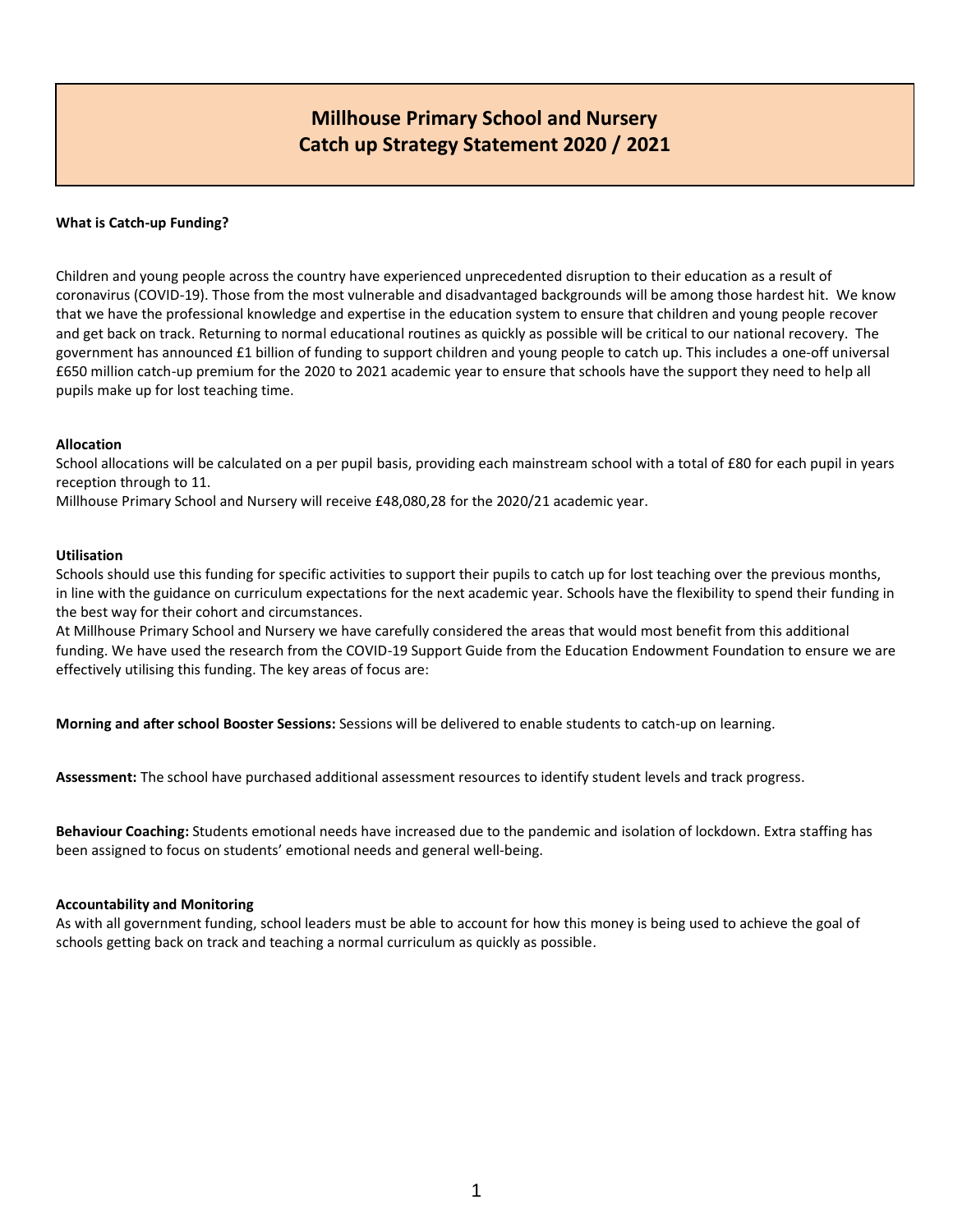# **Millhouse Primary School and Nursery Catch up Strategy Statement 2020 / 2021**

### **What is Catch-up Funding?**

Children and young people across the country have experienced unprecedented disruption to their education as a result of coronavirus (COVID-19). Those from the most vulnerable and disadvantaged backgrounds will be among those hardest hit. We know that we have the professional knowledge and expertise in the education system to ensure that children and young people recover and get back on track. Returning to normal educational routines as quickly as possible will be critical to our national recovery. The government has announced £1 billion of funding to support children and young people to catch up. This includes a one-off universal £650 million catch-up premium for the 2020 to 2021 academic year to ensure that schools have the support they need to help all pupils make up for lost teaching time.

#### **Allocation**

School allocations will be calculated on a per pupil basis, providing each mainstream school with a total of £80 for each pupil in years reception through to 11.

Millhouse Primary School and Nursery will receive £48,080,28 for the 2020/21 academic year.

#### **Utilisation**

Schools should use this funding for specific activities to support their pupils to catch up for lost teaching over the previous months, in line with the guidance on curriculum expectations for the next academic year. Schools have the flexibility to spend their funding in the best way for their cohort and circumstances.

At Millhouse Primary School and Nursery we have carefully considered the areas that would most benefit from this additional funding. We have used the research from the COVID-19 Support Guide from the Education Endowment Foundation to ensure we are effectively utilising this funding. The key areas of focus are:

**Morning and after school Booster Sessions:** Sessions will be delivered to enable students to catch-up on learning.

**Assessment:** The school have purchased additional assessment resources to identify student levels and track progress.

**Behaviour Coaching:** Students emotional needs have increased due to the pandemic and isolation of lockdown. Extra staffing has been assigned to focus on students' emotional needs and general well-being.

#### **Accountability and Monitoring**

As with all government funding, school leaders must be able to account for how this money is being used to achieve the goal of schools getting back on track and teaching a normal curriculum as quickly as possible.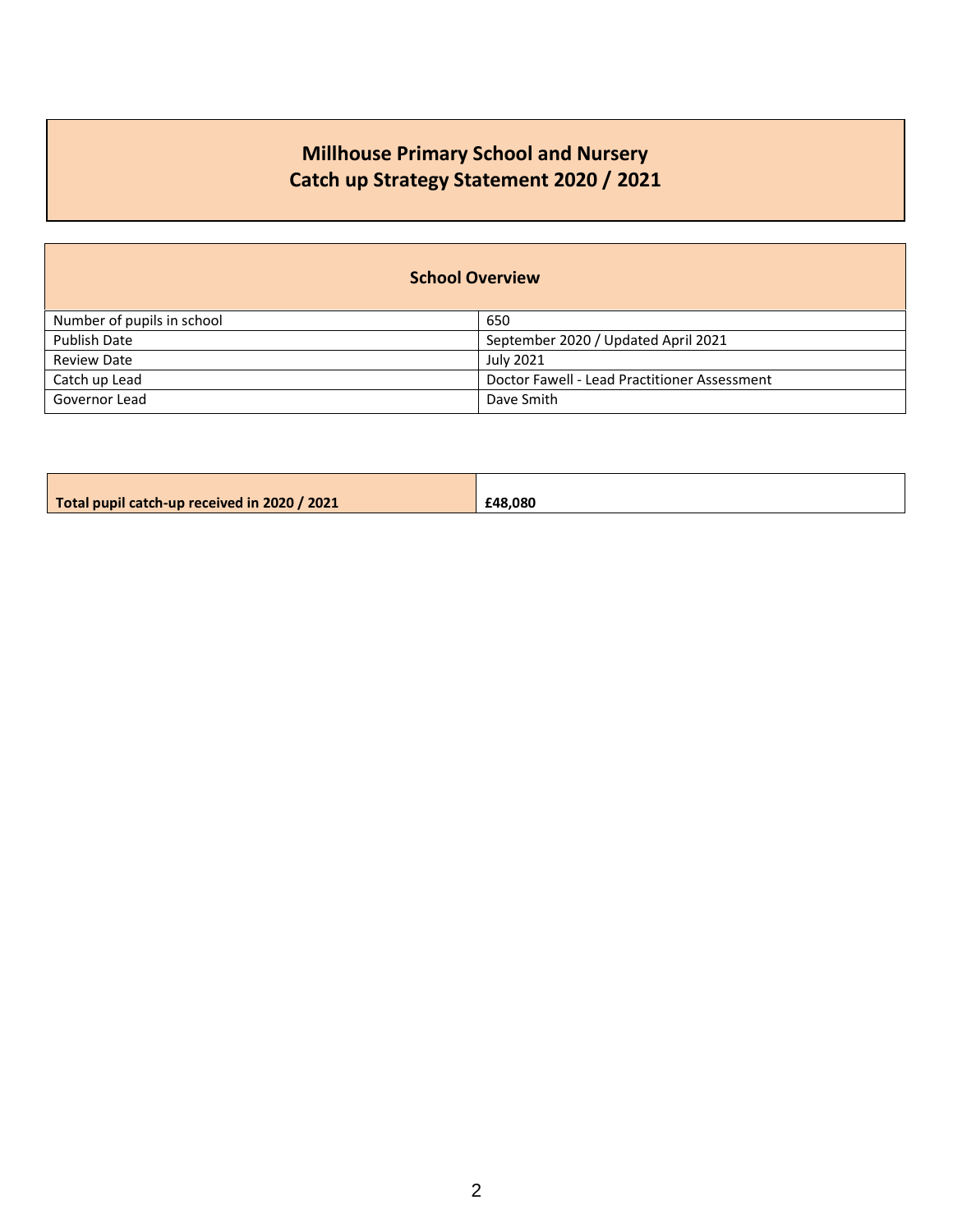# **Millhouse Primary School and Nursery Catch up Strategy Statement 2020 / 2021**

| <b>School Overview</b>     |                                              |  |  |  |  |
|----------------------------|----------------------------------------------|--|--|--|--|
| Number of pupils in school | 650                                          |  |  |  |  |
| <b>Publish Date</b>        | September 2020 / Updated April 2021          |  |  |  |  |
| <b>Review Date</b>         | <b>July 2021</b>                             |  |  |  |  |
| Catch up Lead              | Doctor Fawell - Lead Practitioner Assessment |  |  |  |  |
| Governor Lead              | Dave Smith                                   |  |  |  |  |

| Total pupil catch-up received in 2020 / 2021 | £48.080 |
|----------------------------------------------|---------|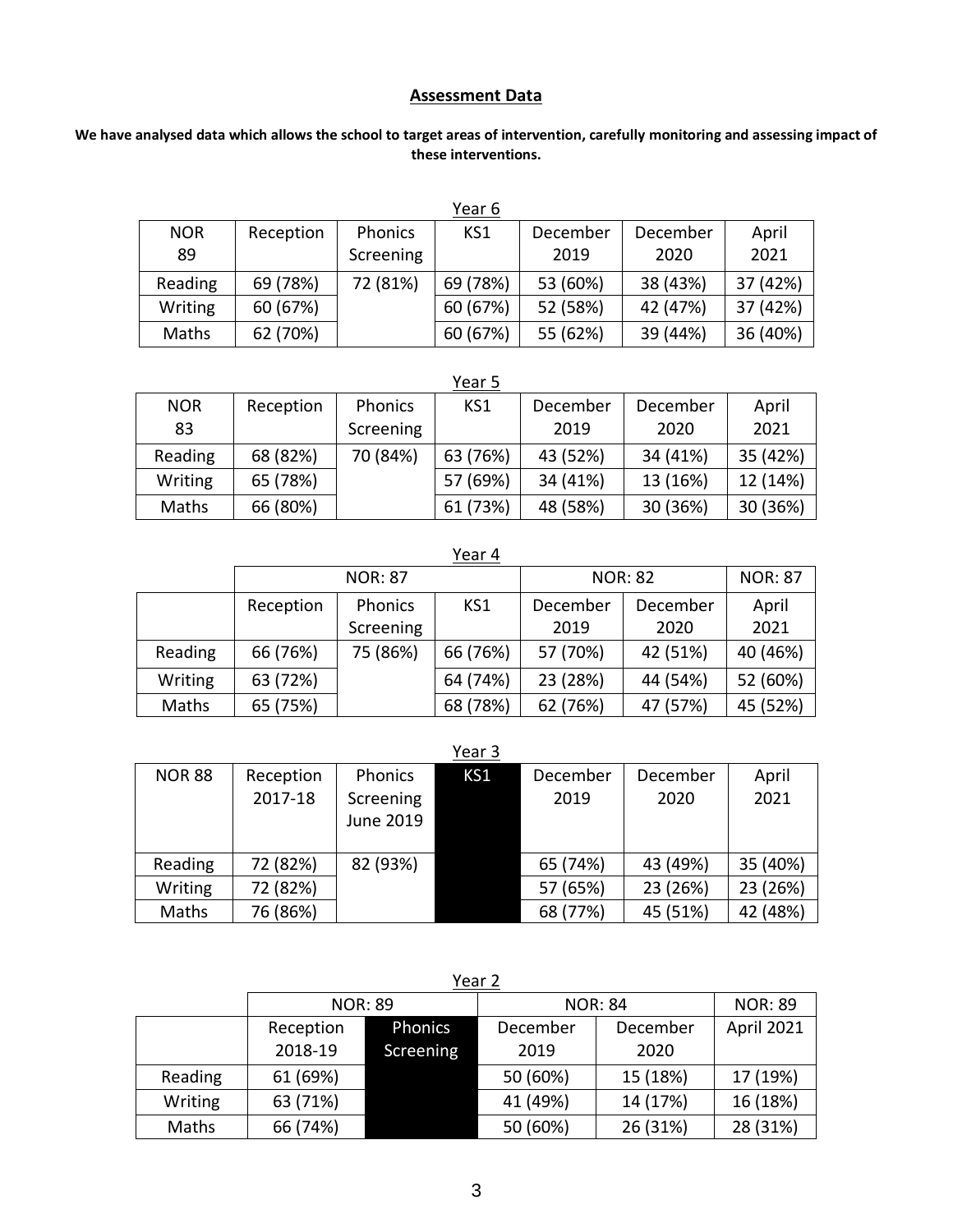## **Assessment Data**

## **We have analysed data which allows the school to target areas of intervention, carefully monitoring and assessing impact of these interventions.**

|            |           |                | Year 6   |          |          |          |
|------------|-----------|----------------|----------|----------|----------|----------|
| <b>NOR</b> | Reception | <b>Phonics</b> | KS1      | December | December | April    |
| 89         |           | Screening      |          | 2019     | 2020     | 2021     |
| Reading    | 69 (78%)  | 72 (81%)       | 69 (78%) | 53 (60%) | 38 (43%) | 37 (42%) |
| Writing    | 60 (67%)  |                | 60 (67%) | 52 (58%) | 42 (47%) | 37 (42%) |
| Maths      | 62 (70%)  |                | 60 (67%) | 55 (62%) | 39 (44%) | 36 (40%) |

Year 5

| <b>NOR</b> | Reception | <b>Phonics</b> | KS1      | December | December | April    |
|------------|-----------|----------------|----------|----------|----------|----------|
| 83         |           | Screening      |          | 2019     | 2020     | 2021     |
| Reading    | 68 (82%)  | 70 (84%)       | 63 (76%) | 43 (52%) | 34 (41%) | 35 (42%) |
| Writing    | 65 (78%)  |                | 57 (69%) | 34 (41%) | 13 (16%) | 12 (14%) |
| Maths      | 66 (80%)  |                | 61 (73%) | 48 (58%) | 30 (36%) | 30 (36%) |

|                | Year 4         |           |          |                |          |                |
|----------------|----------------|-----------|----------|----------------|----------|----------------|
|                | <b>NOR: 87</b> |           |          | <b>NOR: 82</b> |          | <b>NOR: 87</b> |
|                | Reception      | Phonics   | KS1      | December       | December | April          |
|                |                | Screening |          | 2019           | 2020     | 2021           |
| Reading        | 66 (76%)       | 75 (86%)  | 66 (76%) | 57 (70%)       | 42 (51%) | 40 (46%)       |
| <b>Writing</b> | 63 (72%)       |           | 64 (74%) | 23 (28%)       | 44 (54%) | 52 (60%)       |
| Maths          | 65 (75%)       |           | 68 (78%) | 62 (76%)       | 47 (57%) | 45 (52%)       |

|               |           |                | Year 3          |          |          |          |
|---------------|-----------|----------------|-----------------|----------|----------|----------|
| <b>NOR 88</b> | Reception | <b>Phonics</b> | KS <sub>1</sub> | December | December | April    |
|               | 2017-18   | Screening      |                 | 2019     | 2020     | 2021     |
|               |           | June 2019      |                 |          |          |          |
|               |           |                |                 |          |          |          |
| Reading       | 72 (82%)  | 82 (93%)       |                 | 65 (74%) | 43 (49%) | 35 (40%) |
| Writing       | 72 (82%)  |                |                 | 57 (65%) | 23 (26%) | 23 (26%) |
| Maths         | 76 (86%)  |                |                 | 68 (77%) | 45 (51%) | 42 (48%) |

|         | <b>NOR: 89</b> |           | <b>NOR: 84</b> |          | <b>NOR: 89</b> |
|---------|----------------|-----------|----------------|----------|----------------|
|         | Reception      | Phonics   | December       | December | April 2021     |
|         | 2018-19        | Screening | 2019           | 2020     |                |
| Reading | 61 (69%)       |           | 50 (60%)       | 15 (18%) | 17 (19%)       |
| Writing | 63 (71%)       |           | 41 (49%)       | 14 (17%) | 16 (18%)       |
| Maths   | 66 (74%)       |           | 50 (60%)       | 26 (31%) | 28 (31%)       |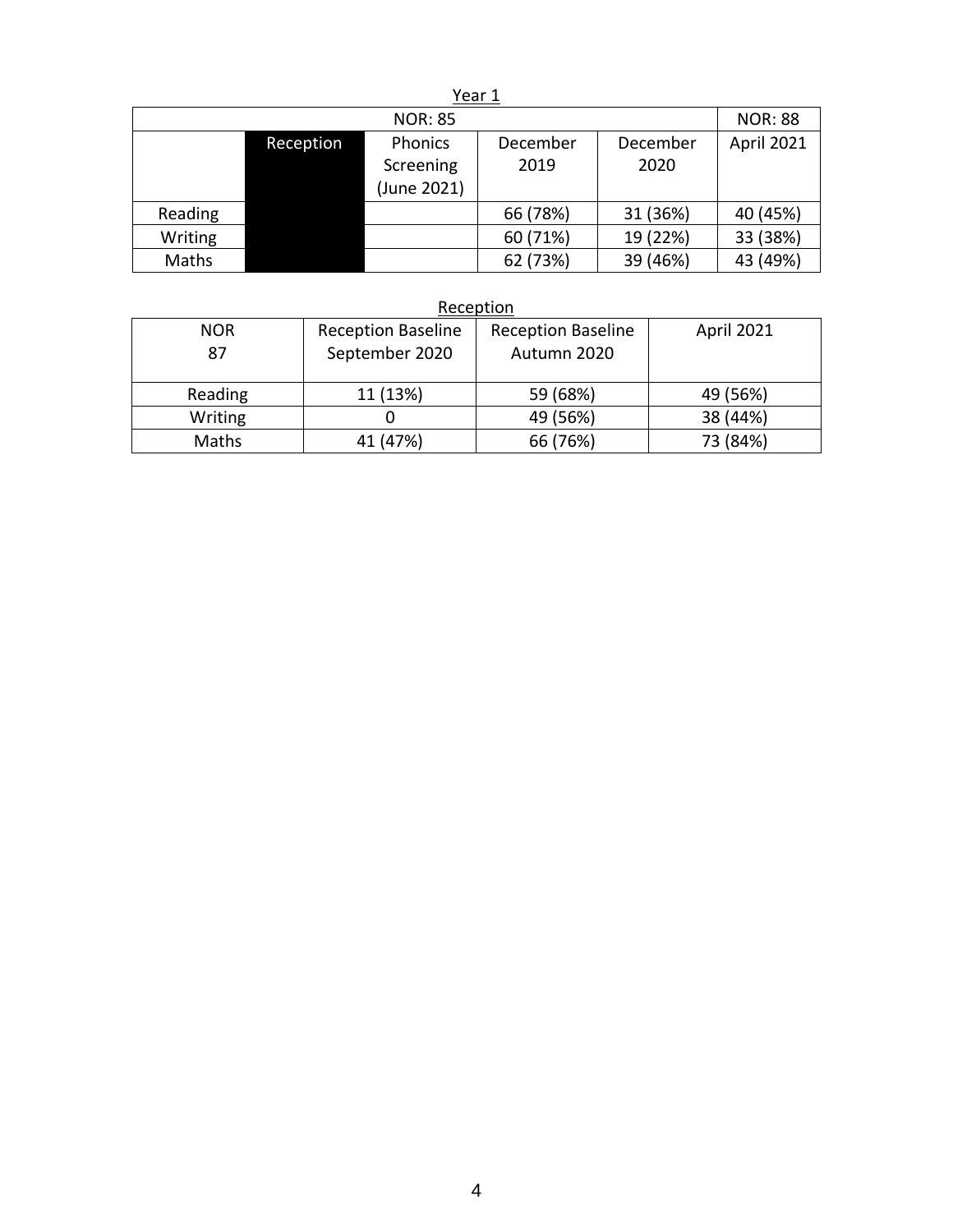## Year 1

|         |           | <b>NOR: 85</b>                      |                  |                  | <b>NOR: 88</b> |
|---------|-----------|-------------------------------------|------------------|------------------|----------------|
|         | Reception | Phonics<br>Screening<br>(June 2021) | December<br>2019 | December<br>2020 | April 2021     |
| Reading |           |                                     | 66 (78%)         | 31 (36%)         | 40 (45%)       |
| Writing |           |                                     | 60 (71%)         | 19 (22%)         | 33 (38%)       |
| Maths   |           |                                     | 62 (73%)         | 39 (46%)         | 43 (49%)       |

## **Reception**

| <b>NOR</b><br>87 | <b>Reception Baseline</b><br>September 2020 | <b>Reception Baseline</b><br>Autumn 2020 | April 2021 |
|------------------|---------------------------------------------|------------------------------------------|------------|
| Reading          | 11 (13%)                                    | 59 (68%)                                 | 49 (56%)   |
| Writing          |                                             | 49 (56%)                                 | 38 (44%)   |
| Maths            | 41 (47%)                                    | 66 (76%)                                 | 73 (84%)   |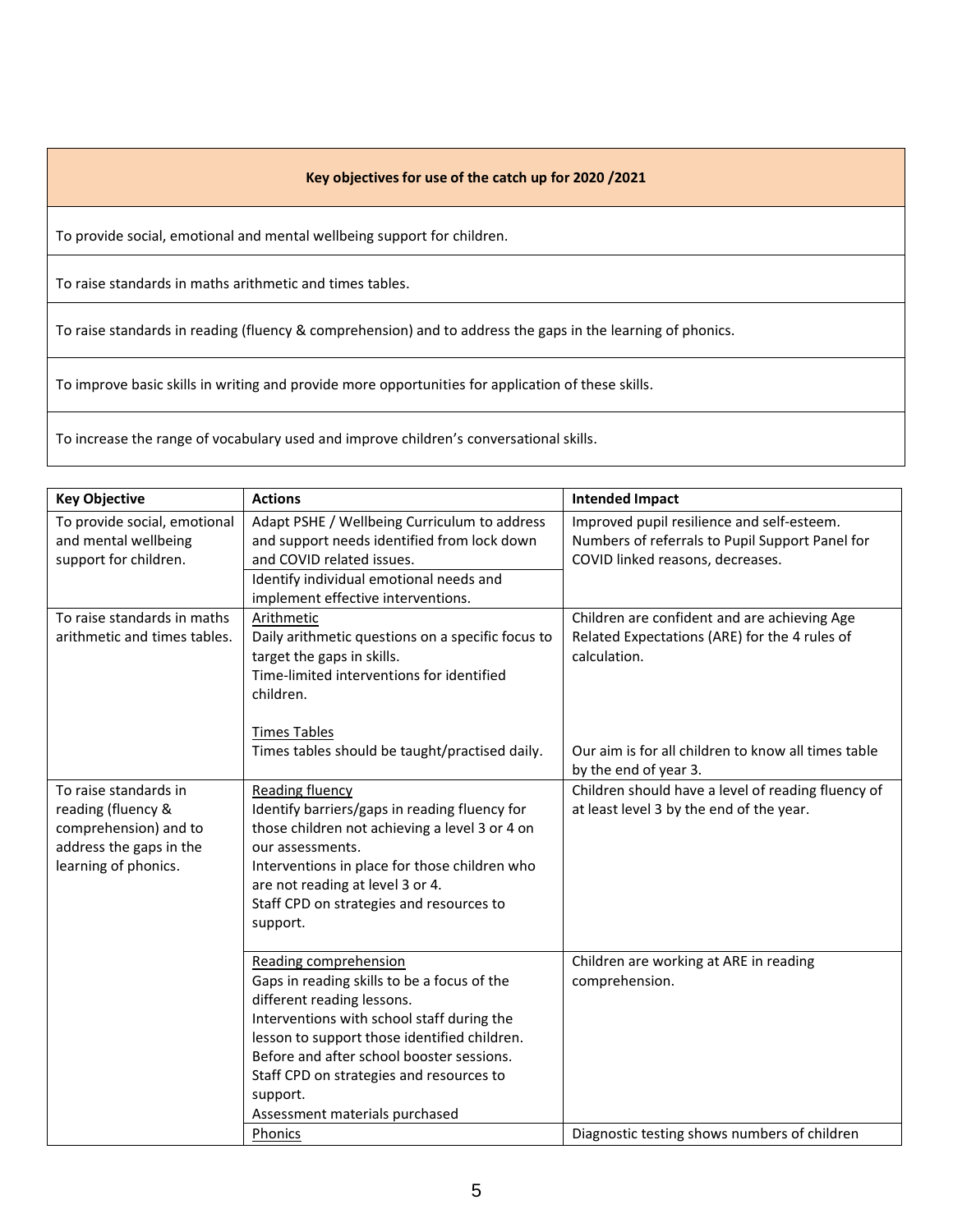## **Key objectives for use of the catch up for 2020 /2021**

To provide social, emotional and mental wellbeing support for children.

To raise standards in maths arithmetic and times tables.

To raise standards in reading (fluency & comprehension) and to address the gaps in the learning of phonics.

To improve basic skills in writing and provide more opportunities for application of these skills.

To increase the range of vocabulary used and improve children's conversational skills.

| <b>Key Objective</b>                                                                                                    | <b>Actions</b>                                                                                                                                                                                                                                                                                                                                     | <b>Intended Impact</b>                                                                                                            |
|-------------------------------------------------------------------------------------------------------------------------|----------------------------------------------------------------------------------------------------------------------------------------------------------------------------------------------------------------------------------------------------------------------------------------------------------------------------------------------------|-----------------------------------------------------------------------------------------------------------------------------------|
| To provide social, emotional<br>and mental wellbeing<br>support for children.                                           | Adapt PSHE / Wellbeing Curriculum to address<br>and support needs identified from lock down<br>and COVID related issues.<br>Identify individual emotional needs and<br>implement effective interventions.                                                                                                                                          | Improved pupil resilience and self-esteem.<br>Numbers of referrals to Pupil Support Panel for<br>COVID linked reasons, decreases. |
| To raise standards in maths<br>arithmetic and times tables.                                                             | Arithmetic<br>Daily arithmetic questions on a specific focus to<br>target the gaps in skills.<br>Time-limited interventions for identified<br>children.<br><b>Times Tables</b>                                                                                                                                                                     | Children are confident and are achieving Age<br>Related Expectations (ARE) for the 4 rules of<br>calculation.                     |
|                                                                                                                         | Times tables should be taught/practised daily.                                                                                                                                                                                                                                                                                                     | Our aim is for all children to know all times table<br>by the end of year 3.                                                      |
| To raise standards in<br>reading (fluency &<br>comprehension) and to<br>address the gaps in the<br>learning of phonics. | Reading fluency<br>Identify barriers/gaps in reading fluency for<br>those children not achieving a level 3 or 4 on<br>our assessments.<br>Interventions in place for those children who<br>are not reading at level 3 or 4.<br>Staff CPD on strategies and resources to<br>support.                                                                | Children should have a level of reading fluency of<br>at least level 3 by the end of the year.                                    |
|                                                                                                                         | Reading comprehension<br>Gaps in reading skills to be a focus of the<br>different reading lessons.<br>Interventions with school staff during the<br>lesson to support those identified children.<br>Before and after school booster sessions.<br>Staff CPD on strategies and resources to<br>support.<br>Assessment materials purchased<br>Phonics | Children are working at ARE in reading<br>comprehension.<br>Diagnostic testing shows numbers of children                          |